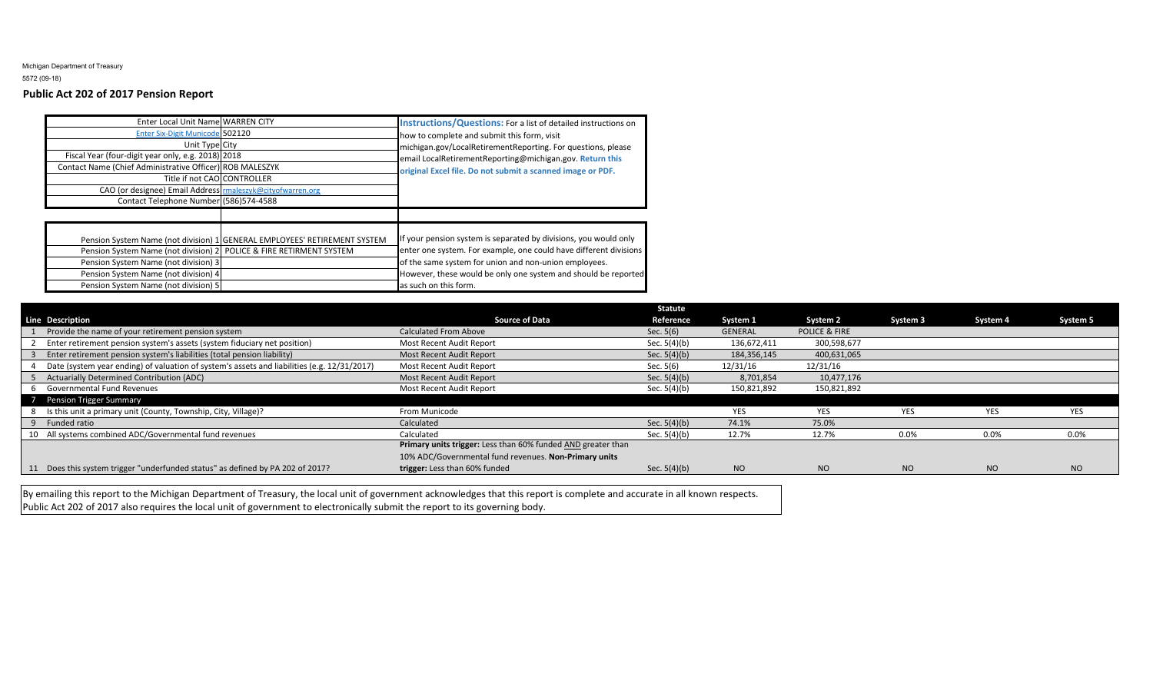Michigan Department of Treasury5572 (09-18)

## **Public Act 202 of 2017 Pension Report**

| Enter Local Unit Name WARREN CITY<br>Enter Six-Digit Municode 502120<br>Unit Type City<br>Fiscal Year (four-digit year only, e.g. 2018) 2018<br>Contact Name (Chief Administrative Officer) ROB MALESZYK<br>Title if not CAO CONTROLLER<br>CAO (or designee) Email Address rmaleszyk@cityofwarren.org<br>Contact Telephone Number (586)574-4588 |                                                                           | <b>Instructions/Questions:</b> For a list of detailed instructions on<br>how to complete and submit this form, visit<br>michigan.gov/LocalRetirementReporting. For questions, please<br>email LocalRetirementReporting@michigan.gov. Return this<br>original Excel file. Do not submit a scanned image or PDF. |
|-------------------------------------------------------------------------------------------------------------------------------------------------------------------------------------------------------------------------------------------------------------------------------------------------------------------------------------------------|---------------------------------------------------------------------------|----------------------------------------------------------------------------------------------------------------------------------------------------------------------------------------------------------------------------------------------------------------------------------------------------------------|
| Pension System Name (not division) 2 POLICE & FIRE RETIRMENT SYSTEM<br>Pension System Name (not division) 3<br>Pension System Name (not division) 4<br>Pension System Name (not division) 5                                                                                                                                                     | Pension System Name (not division) 1 GENERAL EMPLOYEES' RETIREMENT SYSTEM | If your pension system is separated by divisions, you would only<br>enter one system. For example, one could have different divisions<br>of the same system for union and non-union employees.<br>However, these would be only one system and should be reported<br>as such on this form.                      |

|                                                                                             |                                                              | <b>Statute</b> |             |                          |           |            |            |
|---------------------------------------------------------------------------------------------|--------------------------------------------------------------|----------------|-------------|--------------------------|-----------|------------|------------|
| <b>Line Description</b>                                                                     | <b>Source of Data</b>                                        | Reference      | System 1    | System 2                 | System 3  | System 4   | System 5   |
| Provide the name of your retirement pension system                                          | <b>Calculated From Above</b>                                 | Sec. $5(6)$    | GENERAL     | <b>POLICE &amp; FIRE</b> |           |            |            |
| Enter retirement pension system's assets (system fiduciary net position)                    | Most Recent Audit Report                                     | Sec. 5(4)(b)   | 136,672,411 | 300,598,677              |           |            |            |
| Enter retirement pension system's liabilities (total pension liability)                     | Most Recent Audit Report                                     | Sec. $5(4)(b)$ | 184,356,145 | 400,631,065              |           |            |            |
| Date (system year ending) of valuation of system's assets and liabilities (e.g. 12/31/2017) | Most Recent Audit Report                                     | Sec. $5(6)$    | 12/31/16    | 12/31/16                 |           |            |            |
| <b>Actuarially Determined Contribution (ADC)</b>                                            | Most Recent Audit Report                                     | Sec. $5(4)(b)$ | 8,701,854   | 10,477,176               |           |            |            |
| 6 Governmental Fund Revenues                                                                | Most Recent Audit Report                                     | Sec. 5(4)(b)   | 150,821,892 | 150,821,892              |           |            |            |
| 7 Pension Trigger Summary                                                                   |                                                              |                |             |                          |           |            |            |
| 8 Is this unit a primary unit (County, Township, City, Village)?                            | From Municode                                                |                | <b>YES</b>  | <b>YES</b>               | YES       | <b>YES</b> | <b>YES</b> |
| 9 Funded ratio                                                                              | Calculated                                                   | Sec. $5(4)(b)$ | 74.1%       | 75.0%                    |           |            |            |
| 10 All systems combined ADC/Governmental fund revenues                                      | Calculated                                                   | Sec. 5(4)(b)   | 12.7%       | 12.7%                    | 0.0%      | 0.0%       | $0.0\%$    |
|                                                                                             | Primary units trigger: Less than 60% funded AND greater than |                |             |                          |           |            |            |
|                                                                                             | 10% ADC/Governmental fund revenues. Non-Primary units        |                |             |                          |           |            |            |
| 11 Does this system trigger "underfunded status" as defined by PA 202 of 2017?              | trigger: Less than 60% funded                                | Sec. $5(4)(b)$ | <b>NO</b>   | <b>NO</b>                | <b>NO</b> | <b>NO</b>  | <b>NO</b>  |

By emailing this report to the Michigan Department of Treasury, the local unit of government acknowledges that this report is complete and accurate in all known respects. Public Act 202 of 2017 also requires the local unit of government to electronically submit the report to its governing body.